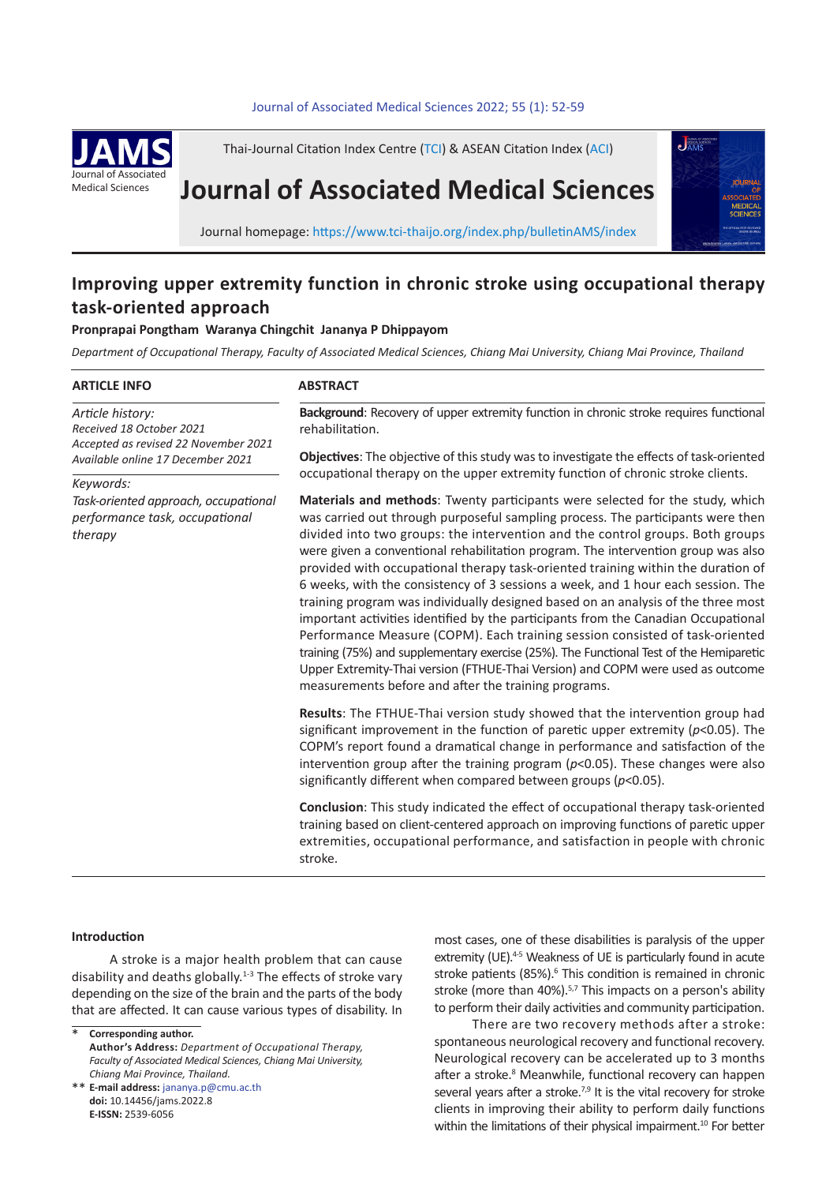#### 52 *P. Pongtham et al* Journal of Associated Medical Sciences 2022; 55 (1): 52-59 **.** Journal of Associated Medical Sciences 2022; 55(1): 52-59



Thai-Journal Citation Index Centre (TCI) & ASEAN Citation Index (ACI)

# **Journal of Associated Medical Sciences**



Journal homepage: https://www.tci-thaijo.org/index.php/bulletinAMS/index

## **Improving upper extremity function in chronic stroke using occupational therapy task-oriented approach**

### **Pronprapai Pongtham Waranya Chingchit Jananya P Dhippayom**

*Department of Occupational Therapy, Faculty of Associated Medical Sciences, Chiang Mai University, Chiang Mai Province, Thailand*

#### **ARTICLE INFO**

**ABSTRACT**

*Article history: Received 18 October 2021 Accepted as revised 22 November 2021 Available online 17 December 2021*

*Keywords:*

*Task-oriented approach, occupational performance task, occupational therapy*

**Background**: Recovery of upper extremity function in chronic stroke requires functional rehabilitation.

**Objectives**: The objective of this study was to investigate the effects of task-oriented occupational therapy on the upper extremity function of chronic stroke clients.

**Materials and methods**: Twenty participants were selected for the study, which was carried out through purposeful sampling process. The participants were then divided into two groups: the intervention and the control groups. Both groups were given a conventional rehabilitation program. The intervention group was also provided with occupational therapy task-oriented training within the duration of 6 weeks, with the consistency of 3 sessions a week, and 1 hour each session. The training program was individually designed based on an analysis of the three most important activities identified by the participants from the Canadian Occupational Performance Measure (COPM). Each training session consisted of task-oriented training (75%) and supplementary exercise (25%). The Functional Test of the Hemiparetic Upper Extremity-Thai version (FTHUE-Thai Version) and COPM were used as outcome measurements before and after the training programs.

**Results**: The FTHUE-Thai version study showed that the intervention group had significant improvement in the function of paretic upper extremity (*p*<0.05). The COPM's report found a dramatical change in performance and satisfaction of the intervention group after the training program (*p*<0.05). These changes were also significantly different when compared between groups (*p*<0.05).

**Conclusion**: This study indicated the effect of occupational therapy task-oriented training based on client-centered approach on improving functions of paretic upper extremities, occupational performance, and satisfaction in people with chronic stroke.

#### **Introduction**

A stroke is a major health problem that can cause disability and deaths globally.<sup>1-3</sup> The effects of stroke vary depending on the size of the brain and the parts of the body that are affected. It can cause various types of disability. In

**Corresponding author. Author's Address:** *Department of Occupational Therapy, Faculty of Associated Medical Sciences, Chiang Mai University, Chiang Mai Province, Thailand.* \*

**E-mail address:** jananya.p@cmu.ac.th \*\* **doi:** 10.14456/jams.2022.8 **E-ISSN:** 2539-6056

most cases, one of these disabilities is paralysis of the upper extremity (UE).<sup>4-5</sup> Weakness of UE is particularly found in acute stroke patients (85%).<sup>6</sup> This condition is remained in chronic stroke (more than 40%).<sup>5,7</sup> This impacts on a person's ability to perform their daily activities and community participation.

There are two recovery methods after a stroke: spontaneous neurological recovery and functional recovery. Neurological recovery can be accelerated up to 3 months after a stroke.<sup>8</sup> Meanwhile, functional recovery can happen several years after a stroke. $7,9$  It is the vital recovery for stroke clients in improving their ability to perform daily functions within the limitations of their physical impairment.<sup>10</sup> For better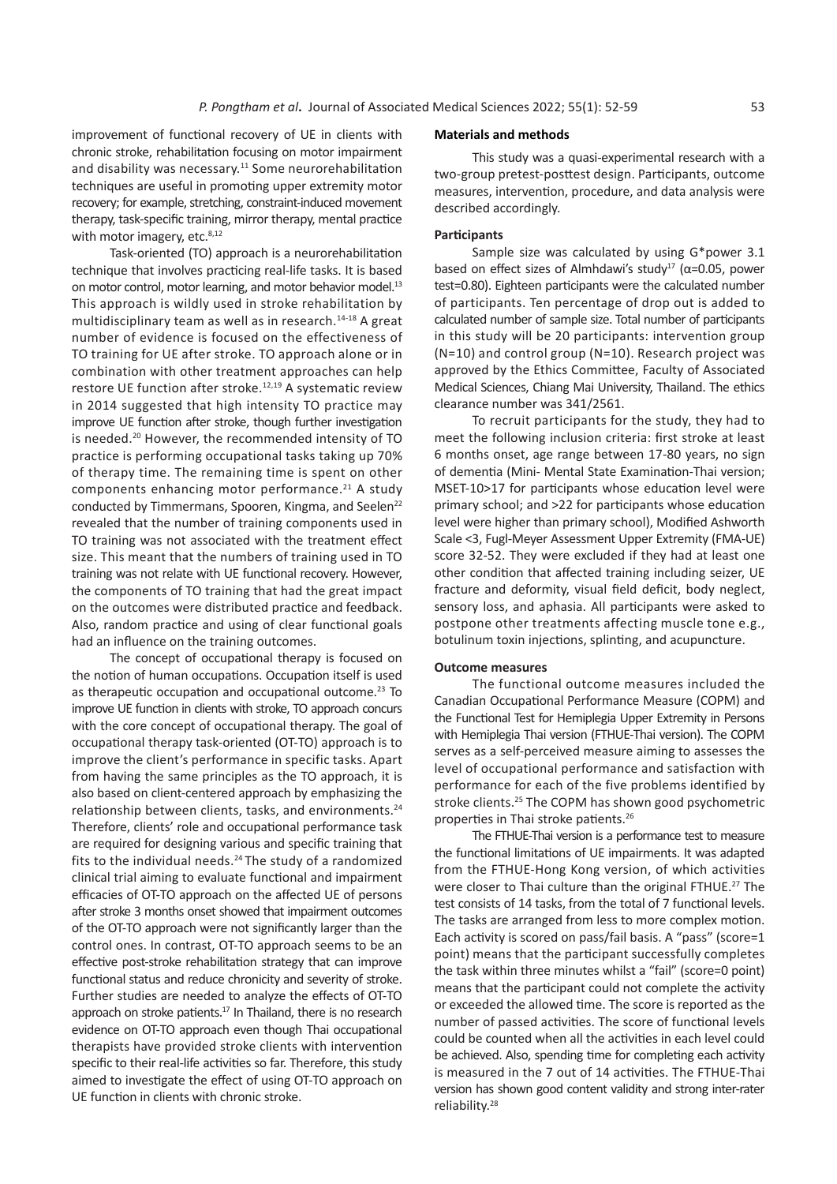improvement of functional recovery of UE in clients with chronic stroke, rehabilitation focusing on motor impairment and disability was necessary.<sup>11</sup> Some neurorehabilitation techniques are useful in promoting upper extremity motor recovery; for example, stretching, constraint-induced movement therapy, task-specific training, mirror therapy, mental practice with motor imagery, etc.<sup>8,12</sup>

Task-oriented (TO) approach is a neurorehabilitation technique that involves practicing real-life tasks. It is based on motor control, motor learning, and motor behavior model.<sup>13</sup> This approach is wildly used in stroke rehabilitation by multidisciplinary team as well as in research.<sup>14-18</sup> A great number of evidence is focused on the effectiveness of TO training for UE after stroke. TO approach alone or in combination with other treatment approaches can help restore UE function after stroke.<sup>12,19</sup> A systematic review in 2014 suggested that high intensity TO practice may improve UE function after stroke, though further investigation is needed.<sup>20</sup> However, the recommended intensity of TO practice is performing occupational tasks taking up 70% of therapy time. The remaining time is spent on other components enhancing motor performance. $21$  A study conducted by Timmermans, Spooren, Kingma, and Seelen<sup>22</sup> revealed that the number of training components used in TO training was not associated with the treatment effect size. This meant that the numbers of training used in TO training was not relate with UE functional recovery. However, the components of TO training that had the great impact on the outcomes were distributed practice and feedback. Also, random practice and using of clear functional goals had an influence on the training outcomes.

The concept of occupational therapy is focused on the notion of human occupations. Occupation itself is used as therapeutic occupation and occupational outcome.<sup>23</sup> To improve UE function in clients with stroke, TO approach concurs with the core concept of occupational therapy. The goal of occupational therapy task-oriented (OT-TO) approach is to improve the client's performance in specific tasks. Apart from having the same principles as the TO approach, it is also based on client-centered approach by emphasizing the relationship between clients, tasks, and environments.<sup>24</sup> Therefore, clients' role and occupational performance task are required for designing various and specific training that fits to the individual needs.<sup>24</sup> The study of a randomized clinical trial aiming to evaluate functional and impairment efficacies of OT-TO approach on the affected UE of persons after stroke 3 months onset showed that impairment outcomes of the OT-TO approach were not significantly larger than the control ones. In contrast, OT-TO approach seems to be an effective post-stroke rehabilitation strategy that can improve functional status and reduce chronicity and severity of stroke. Further studies are needed to analyze the effects of OT-TO approach on stroke patients.<sup>17</sup> In Thailand, there is no research evidence on OT-TO approach even though Thai occupational therapists have provided stroke clients with intervention specific to their real-life activities so far. Therefore, this study aimed to investigate the effect of using OT-TO approach on UE function in clients with chronic stroke.

#### **Materials and methods**

This study was a quasi-experimental research with a two-group pretest-posttest design. Participants, outcome measures, intervention, procedure, and data analysis were described accordingly.

#### **Participants**

Sample size was calculated by using G\*power 3.1 based on effect sizes of Almhdawi's study<sup>17</sup> ( $\alpha$ =0.05, power test=0.80). Eighteen participants were the calculated number of participants. Ten percentage of drop out is added to calculated number of sample size. Total number of participants in this study will be 20 participants: intervention group (N=10) and control group (N=10). Research project was approved by the Ethics Committee, Faculty of Associated Medical Sciences, Chiang Mai University, Thailand. The ethics clearance number was 341/2561.

To recruit participants for the study, they had to meet the following inclusion criteria: first stroke at least 6 months onset, age range between 17-80 years, no sign of dementia (Mini- Mental State Examination-Thai version; MSET-10>17 for participants whose education level were primary school; and >22 for participants whose education level were higher than primary school), Modified Ashworth Scale <3, Fugl-Meyer Assessment Upper Extremity (FMA-UE) score 32-52. They were excluded if they had at least one other condition that affected training including seizer, UE fracture and deformity, visual field deficit, body neglect, sensory loss, and aphasia. All participants were asked to postpone other treatments affecting muscle tone e.g., botulinum toxin injections, splinting, and acupuncture.

#### **Outcome measures**

The functional outcome measures included the Canadian Occupational Performance Measure (COPM) and the Functional Test for Hemiplegia Upper Extremity in Persons with Hemiplegia Thai version (FTHUE-Thai version). The COPM serves as a self-perceived measure aiming to assesses the level of occupational performance and satisfaction with performance for each of the five problems identified by stroke clients.<sup>25</sup> The COPM has shown good psychometric properties in Thai stroke patients.<sup>26</sup>

The FTHUE-Thai version is a performance test to measure the functional limitations of UE impairments. It was adapted from the FTHUE-Hong Kong version, of which activities were closer to Thai culture than the original FTHUE.<sup>27</sup> The test consists of 14 tasks, from the total of 7 functional levels. The tasks are arranged from less to more complex motion. Each activity is scored on pass/fail basis. A "pass" (score=1 point) means that the participant successfully completes the task within three minutes whilst a "fail" (score=0 point) means that the participant could not complete the activity or exceeded the allowed time. The score is reported as the number of passed activities. The score of functional levels could be counted when all the activities in each level could be achieved. Also, spending time for completing each activity is measured in the 7 out of 14 activities. The FTHUE-Thai version has shown good content validity and strong inter-rater reliability.28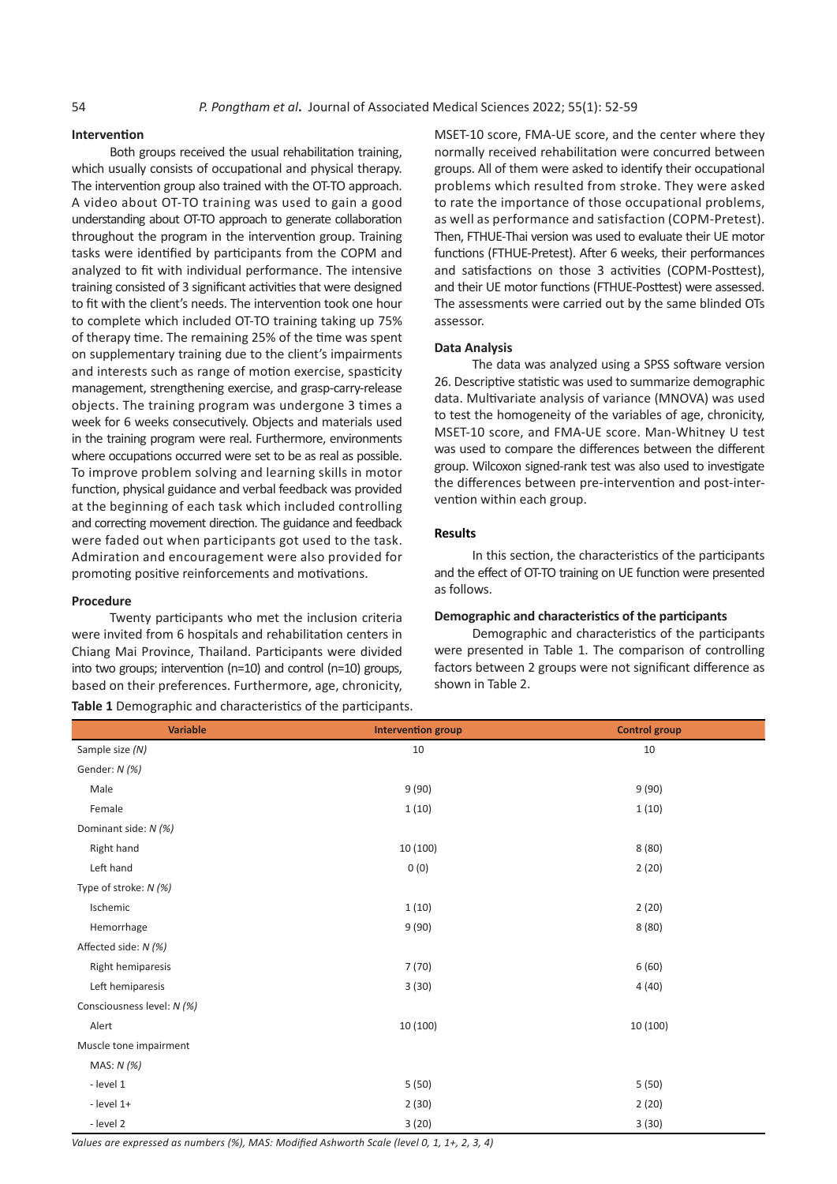#### **Intervention**

Both groups received the usual rehabilitation training, which usually consists of occupational and physical therapy. The intervention group also trained with the OT-TO approach. A video about OT-TO training was used to gain a good understanding about OT-TO approach to generate collaboration throughout the program in the intervention group. Training tasks were identified by participants from the COPM and analyzed to fit with individual performance. The intensive training consisted of 3 significant activities that were designed to fit with the client's needs. The intervention took one hour to complete which included OT-TO training taking up 75% of therapy time. The remaining 25% of the time was spent on supplementary training due to the client's impairments and interests such as range of motion exercise, spasticity management, strengthening exercise, and grasp-carry-release objects. The training program was undergone 3 times a week for 6 weeks consecutively. Objects and materials used in the training program were real. Furthermore, environments where occupations occurred were set to be as real as possible. To improve problem solving and learning skills in motor function, physical guidance and verbal feedback was provided at the beginning of each task which included controlling and correcting movement direction. The guidance and feedback were faded out when participants got used to the task. Admiration and encouragement were also provided for promoting positive reinforcements and motivations.

#### **Procedure**

Twenty participants who met the inclusion criteria were invited from 6 hospitals and rehabilitation centers in Chiang Mai Province, Thailand. Participants were divided into two groups; intervention (n=10) and control (n=10) groups, based on their preferences. Furthermore, age, chronicity,

**Table 1** Demographic and characteristics of the participants.

MSET-10 score, FMA-UE score, and the center where they normally received rehabilitation were concurred between groups. All of them were asked to identify their occupational problems which resulted from stroke. They were asked to rate the importance of those occupational problems, as well as performance and satisfaction (COPM-Pretest). Then, FTHUE-Thai version was used to evaluate their UE motor functions (FTHUE-Pretest). After 6 weeks, their performances and satisfactions on those 3 activities (COPM-Posttest), and their UE motor functions (FTHUE-Posttest) were assessed. The assessments were carried out by the same blinded OTs assessor.

#### **Data Analysis**

The data was analyzed using a SPSS software version 26. Descriptive statistic was used to summarize demographic data. Multivariate analysis of variance (MNOVA) was used to test the homogeneity of the variables of age, chronicity, MSET-10 score, and FMA-UE score. Man-Whitney U test was used to compare the differences between the different group. Wilcoxon signed-rank test was also used to investigate the differences between pre-intervention and post-intervention within each group.

#### **Results**

In this section, the characteristics of the participants and the effect of OT-TO training on UE function were presented as follows.

#### **Demographic and characteristics of the participants**

Demographic and characteristics of the participants were presented in Table 1. The comparison of controlling factors between 2 groups were not significant difference as shown in Table 2.

| <b>Variable</b>            | <b>Intervention group</b> | <b>Control group</b> |
|----------------------------|---------------------------|----------------------|
| Sample size (N)            | 10                        | 10                   |
| Gender: N (%)              |                           |                      |
| Male                       | 9(90)                     | 9(90)                |
| Female                     | 1(10)                     | 1(10)                |
| Dominant side: N (%)       |                           |                      |
| Right hand                 | 10 (100)                  | 8(80)                |
| Left hand                  | 0(0)                      | 2(20)                |
| Type of stroke: $N$ (%)    |                           |                      |
| Ischemic                   | 1(10)                     | 2(20)                |
| Hemorrhage                 | 9(90)                     | 8(80)                |
| Affected side: N (%)       |                           |                      |
| Right hemiparesis          | 7(70)                     | 6(60)                |
| Left hemiparesis           | 3(30)                     | 4(40)                |
| Consciousness level: N (%) |                           |                      |
| Alert                      | 10 (100)                  | 10 (100)             |
| Muscle tone impairment     |                           |                      |
| MAS: $N$ (%)               |                           |                      |
| - level 1                  | 5(50)                     | 5(50)                |
| $-$ level $1+$             | 2(30)                     | 2(20)                |
| - level 2                  | 3(20)                     | 3(30)                |

*Values are expressed as numbers (%), MAS: Modified Ashworth Scale (level 0, 1, 1+, 2, 3, 4)*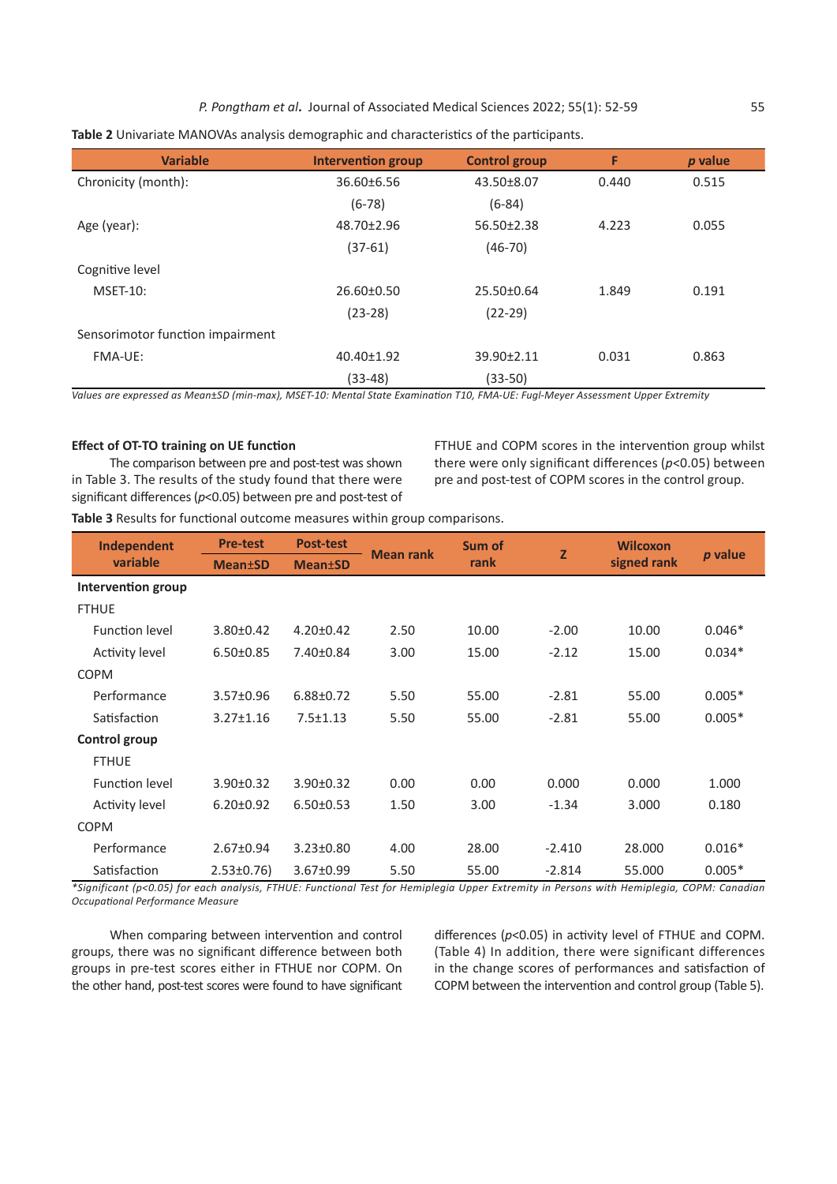*P. Pongtham et al***.** Journal of Associated Medical Sciences 2022; 55(1): 52-59 55

| <b>Variable</b>                  | <b>Intervention group</b> | <b>Control group</b> | F     | p value |
|----------------------------------|---------------------------|----------------------|-------|---------|
| Chronicity (month):              | 36.60±6.56                | 43.50±8.07           | 0.440 | 0.515   |
|                                  | $(6-78)$                  | $(6-84)$             |       |         |
| Age (year):                      | 48.70±2.96                | 56.50±2.38           | 4.223 | 0.055   |
|                                  | $(37-61)$                 | $(46-70)$            |       |         |
| Cognitive level                  |                           |                      |       |         |
| <b>MSET-10:</b>                  | 26.60±0.50                | 25.50±0.64           | 1.849 | 0.191   |
|                                  | $(23-28)$                 | $(22-29)$            |       |         |
| Sensorimotor function impairment |                           |                      |       |         |
| FMA-UE:                          | 40.40±1.92                | 39.90±2.11           | 0.031 | 0.863   |
|                                  | $(33-48)$                 | $(33-50)$            |       |         |

**Table 2** Univariate MANOVAs analysis demographic and characteristics of the participants.

*Values are expressed as Mean*±*SD (min-max), MSET-10: Mental State Examination T10, FMA-UE: Fugl-Meyer Assessment Upper Extremity*

#### **Effect of OT-TO training on UE function**

The comparison between pre and post-test was shown in Table 3. The results of the study found that there were significant differences (*p*<0.05) between pre and post-test of FTHUE and COPM scores in the intervention group whilst there were only significant differences (*p*<0.05) between pre and post-test of COPM scores in the control group.

**Table 3** Results for functional outcome measures within group comparisons.

| Independent           | <b>Pre-test</b> | <b>Post-test</b>            | <b>Mean rank</b> | Sum of | $\overline{z}$ | <b>Wilcoxon</b> |          |
|-----------------------|-----------------|-----------------------------|------------------|--------|----------------|-----------------|----------|
| variable              | <b>Mean</b> ±SD | <b>Mean</b> <sup>t</sup> SD |                  | rank   |                | signed rank     | p value  |
| Intervention group    |                 |                             |                  |        |                |                 |          |
| <b>FTHUE</b>          |                 |                             |                  |        |                |                 |          |
| <b>Function level</b> | 3.80±0.42       | $4.20 \pm 0.42$             | 2.50             | 10.00  | $-2.00$        | 10.00           | $0.046*$ |
| <b>Activity level</b> | $6.50 \pm 0.85$ | 7.40±0.84                   | 3.00             | 15.00  | $-2.12$        | 15.00           | $0.034*$ |
| <b>COPM</b>           |                 |                             |                  |        |                |                 |          |
| Performance           | 3.57±0.96       | 6.88±0.72                   | 5.50             | 55.00  | $-2.81$        | 55.00           | $0.005*$ |
| Satisfaction          | $3.27 \pm 1.16$ | $7.5 \pm 1.13$              | 5.50             | 55.00  | $-2.81$        | 55.00           | $0.005*$ |
| Control group         |                 |                             |                  |        |                |                 |          |
| <b>FTHUE</b>          |                 |                             |                  |        |                |                 |          |
| <b>Function level</b> | 3.90±0.32       | 3.90±0.32                   | 0.00             | 0.00   | 0.000          | 0.000           | 1.000    |
| <b>Activity level</b> | $6.20 \pm 0.92$ | $6.50 \pm 0.53$             | 1.50             | 3.00   | $-1.34$        | 3.000           | 0.180    |
| <b>COPM</b>           |                 |                             |                  |        |                |                 |          |
| Performance           | 2.67±0.94       | $3.23 \pm 0.80$             | 4.00             | 28.00  | $-2.410$       | 28.000          | $0.016*$ |
| Satisfaction          | $2.53 \pm 0.76$ | 3.67±0.99                   | 5.50             | 55.00  | $-2.814$       | 55.000          | $0.005*$ |

*\*Significant (p<0.05) for each analysis, FTHUE: Functional Test for Hemiplegia Upper Extremity in Persons with Hemiplegia, COPM: Canadian Occupational Performance Measure*

When comparing between intervention and control groups, there was no significant difference between both groups in pre-test scores either in FTHUE nor COPM. On the other hand, post-test scores were found to have significant

differences (*p*<0.05) in activity level of FTHUE and COPM. (Table 4) In addition, there were significant differences in the change scores of performances and satisfaction of COPM between the intervention and control group (Table 5).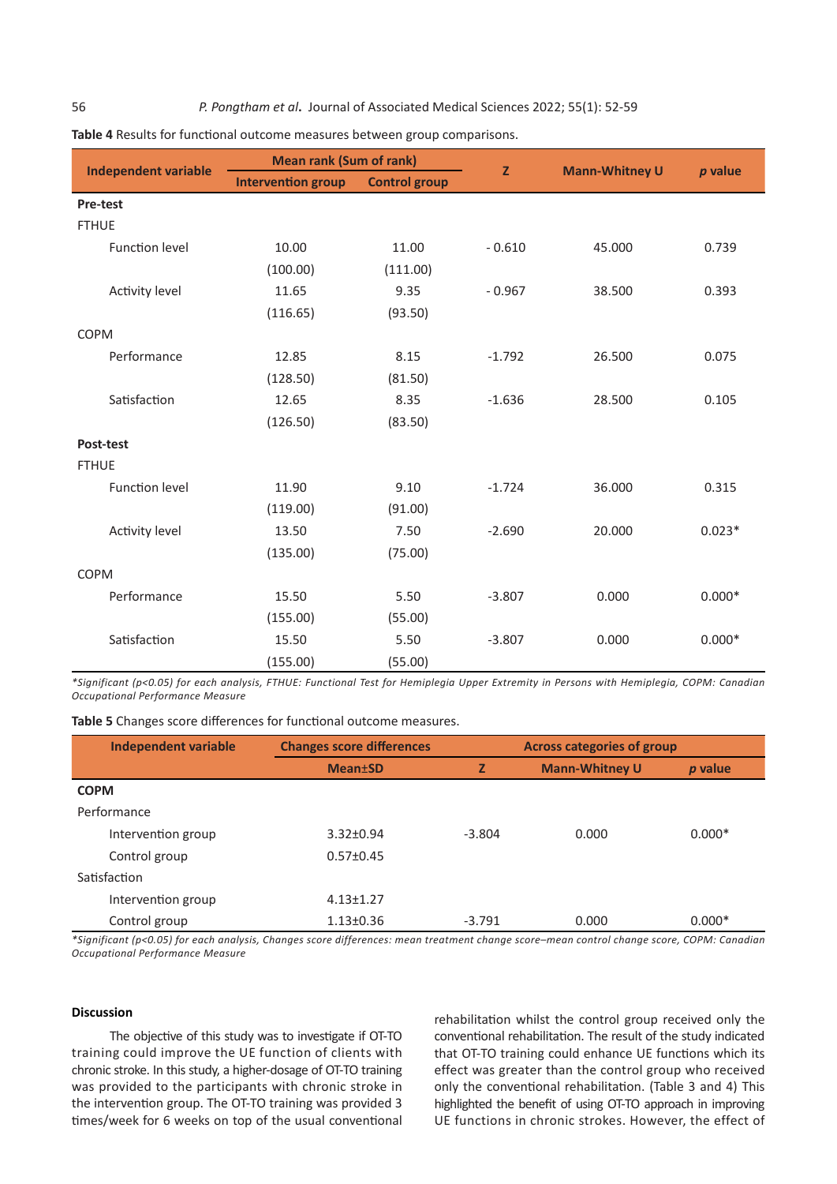56 *P. Pongtham et al***.** Journal of Associated Medical Sciences 2022; 55(1): 52-59

|                             | <b>Mean rank (Sum of rank)</b> |                      |              |                       |          |  |
|-----------------------------|--------------------------------|----------------------|--------------|-----------------------|----------|--|
| <b>Independent variable</b> | <b>Intervention group</b>      | <b>Control group</b> | $\mathbf{Z}$ | <b>Mann-Whitney U</b> | p value  |  |
| Pre-test                    |                                |                      |              |                       |          |  |
| <b>FTHUE</b>                |                                |                      |              |                       |          |  |
| <b>Function level</b>       | 10.00                          | 11.00                | $-0.610$     | 45.000                | 0.739    |  |
|                             | (100.00)                       | (111.00)             |              |                       |          |  |
| <b>Activity level</b>       | 11.65                          | 9.35                 | $-0.967$     | 38.500                | 0.393    |  |
|                             | (116.65)                       | (93.50)              |              |                       |          |  |
| <b>COPM</b>                 |                                |                      |              |                       |          |  |
| Performance                 | 12.85                          | 8.15                 | $-1.792$     | 26.500                | 0.075    |  |
|                             | (128.50)                       | (81.50)              |              |                       |          |  |
| Satisfaction                | 12.65                          | 8.35                 | $-1.636$     | 28.500                | 0.105    |  |
|                             | (126.50)                       | (83.50)              |              |                       |          |  |
| Post-test                   |                                |                      |              |                       |          |  |
| <b>FTHUE</b>                |                                |                      |              |                       |          |  |
| <b>Function level</b>       | 11.90                          | 9.10                 | $-1.724$     | 36.000                | 0.315    |  |
|                             | (119.00)                       | (91.00)              |              |                       |          |  |
| <b>Activity level</b>       | 13.50                          | 7.50                 | $-2.690$     | 20.000                | $0.023*$ |  |
|                             | (135.00)                       | (75.00)              |              |                       |          |  |
| <b>COPM</b>                 |                                |                      |              |                       |          |  |
| Performance                 | 15.50                          | 5.50                 | $-3.807$     | 0.000                 | $0.000*$ |  |
|                             | (155.00)                       | (55.00)              |              |                       |          |  |
| Satisfaction                | 15.50                          | 5.50                 | $-3.807$     | 0.000                 | $0.000*$ |  |
|                             | (155.00)                       | (55.00)              |              |                       |          |  |

**Table 4** Results for functional outcome measures between group comparisons.

*\*Significant (p<0.05) for each analysis, FTHUE: Functional Test for Hemiplegia Upper Extremity in Persons with Hemiplegia, COPM: Canadian Occupational Performance Measure*

**Table 5** Changes score differences for functional outcome measures.

| <b>Independent variable</b> | <b>Changes score differences</b> | <b>Across categories of group</b> |                       |          |
|-----------------------------|----------------------------------|-----------------------------------|-----------------------|----------|
|                             | <b>Mean</b> ±SD                  | Z                                 | <b>Mann-Whitney U</b> | p value  |
| <b>COPM</b>                 |                                  |                                   |                       |          |
| Performance                 |                                  |                                   |                       |          |
| Intervention group          | $3.32 \pm 0.94$                  | $-3.804$                          | 0.000                 | $0.000*$ |
| Control group               | $0.57 \pm 0.45$                  |                                   |                       |          |
| Satisfaction                |                                  |                                   |                       |          |
| Intervention group          | $4.13 \pm 1.27$                  |                                   |                       |          |
| Control group               | $1.13 \pm 0.36$                  | $-3.791$                          | 0.000                 | $0.000*$ |

*\*Significant (p<0.05) for each analysis, Changes score differences: mean treatment change score–mean control change score, COPM: Canadian Occupational Performance Measure*

#### **Discussion**

The objective of this study was to investigate if OT-TO training could improve the UE function of clients with chronic stroke. In this study, a higher-dosage of OT-TO training was provided to the participants with chronic stroke in the intervention group. The OT-TO training was provided 3 times/week for 6 weeks on top of the usual conventional

rehabilitation whilst the control group received only the conventional rehabilitation. The result of the study indicated that OT-TO training could enhance UE functions which its effect was greater than the control group who received only the conventional rehabilitation. (Table 3 and 4) This highlighted the benefit of using OT-TO approach in improving UE functions in chronic strokes. However, the effect of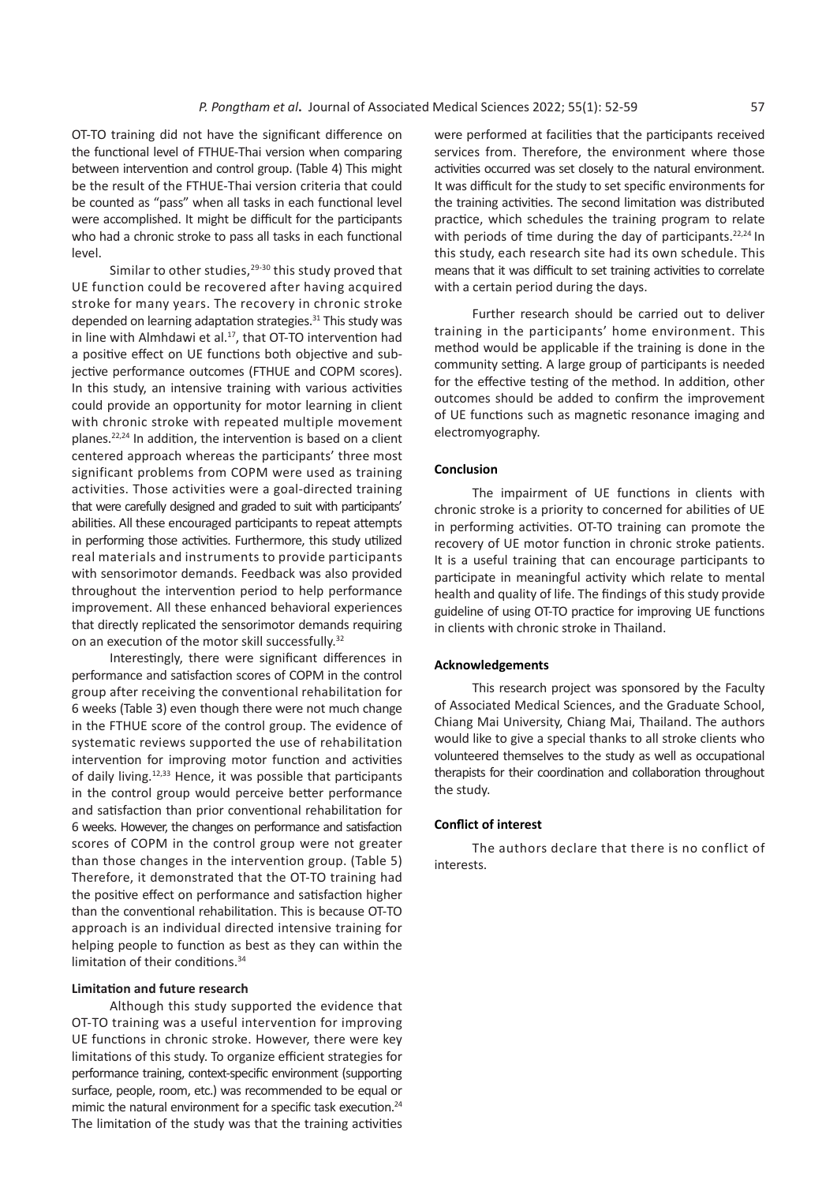OT-TO training did not have the significant difference on the functional level of FTHUE-Thai version when comparing between intervention and control group. (Table 4) This might be the result of the FTHUE-Thai version criteria that could be counted as "pass" when all tasks in each functional level were accomplished. It might be difficult for the participants who had a chronic stroke to pass all tasks in each functional level.

Similar to other studies,<sup>29-30</sup> this study proved that UE function could be recovered after having acquired stroke for many years. The recovery in chronic stroke depended on learning adaptation strategies.<sup>31</sup> This study was in line with Almhdawi et al.<sup>17</sup>, that OT-TO intervention had a positive effect on UE functions both objective and subjective performance outcomes (FTHUE and COPM scores). In this study, an intensive training with various activities could provide an opportunity for motor learning in client with chronic stroke with repeated multiple movement planes.22,24 In addition, the intervention is based on a client centered approach whereas the participants' three most significant problems from COPM were used as training activities. Those activities were a goal-directed training that were carefully designed and graded to suit with participants' abilities. All these encouraged participants to repeat attempts in performing those activities. Furthermore, this study utilized real materials and instruments to provide participants with sensorimotor demands. Feedback was also provided throughout the intervention period to help performance improvement. All these enhanced behavioral experiences that directly replicated the sensorimotor demands requiring on an execution of the motor skill successfully.<sup>32</sup>

Interestingly, there were significant differences in performance and satisfaction scores of COPM in the control group after receiving the conventional rehabilitation for 6 weeks (Table 3) even though there were not much change in the FTHUE score of the control group. The evidence of systematic reviews supported the use of rehabilitation intervention for improving motor function and activities of daily living.12,33 Hence, it was possible that participants in the control group would perceive better performance and satisfaction than prior conventional rehabilitation for 6 weeks. However, the changes on performance and satisfaction scores of COPM in the control group were not greater than those changes in the intervention group. (Table 5) Therefore, it demonstrated that the OT-TO training had the positive effect on performance and satisfaction higher than the conventional rehabilitation. This is because OT-TO approach is an individual directed intensive training for helping people to function as best as they can within the limitation of their conditions.<sup>34</sup>

#### **Limitation and future research**

Although this study supported the evidence that OT-TO training was a useful intervention for improving UE functions in chronic stroke. However, there were key limitations of this study. To organize efficient strategies for performance training, context-specific environment (supporting surface, people, room, etc.) was recommended to be equal or mimic the natural environment for a specific task execution.<sup>24</sup> The limitation of the study was that the training activities

were performed at facilities that the participants received services from. Therefore, the environment where those activities occurred was set closely to the natural environment. It was difficult for the study to set specific environments for the training activities. The second limitation was distributed practice, which schedules the training program to relate with periods of time during the day of participants.<sup>22,24</sup> In this study, each research site had its own schedule. This means that it was difficult to set training activities to correlate with a certain period during the days.

Further research should be carried out to deliver training in the participants' home environment. This method would be applicable if the training is done in the community setting. A large group of participants is needed for the effective testing of the method. In addition, other outcomes should be added to confirm the improvement of UE functions such as magnetic resonance imaging and electromyography.

#### **Conclusion**

The impairment of UE functions in clients with chronic stroke is a priority to concerned for abilities of UE in performing activities. OT-TO training can promote the recovery of UE motor function in chronic stroke patients. It is a useful training that can encourage participants to participate in meaningful activity which relate to mental health and quality of life. The findings of this study provide guideline of using OT-TO practice for improving UE functions in clients with chronic stroke in Thailand.

#### **Acknowledgements**

This research project was sponsored by the Faculty of Associated Medical Sciences, and the Graduate School, Chiang Mai University, Chiang Mai, Thailand. The authors would like to give a special thanks to all stroke clients who volunteered themselves to the study as well as occupational therapists for their coordination and collaboration throughout the study.

#### **Conflict of interest**

The authors declare that there is no conflict of interests.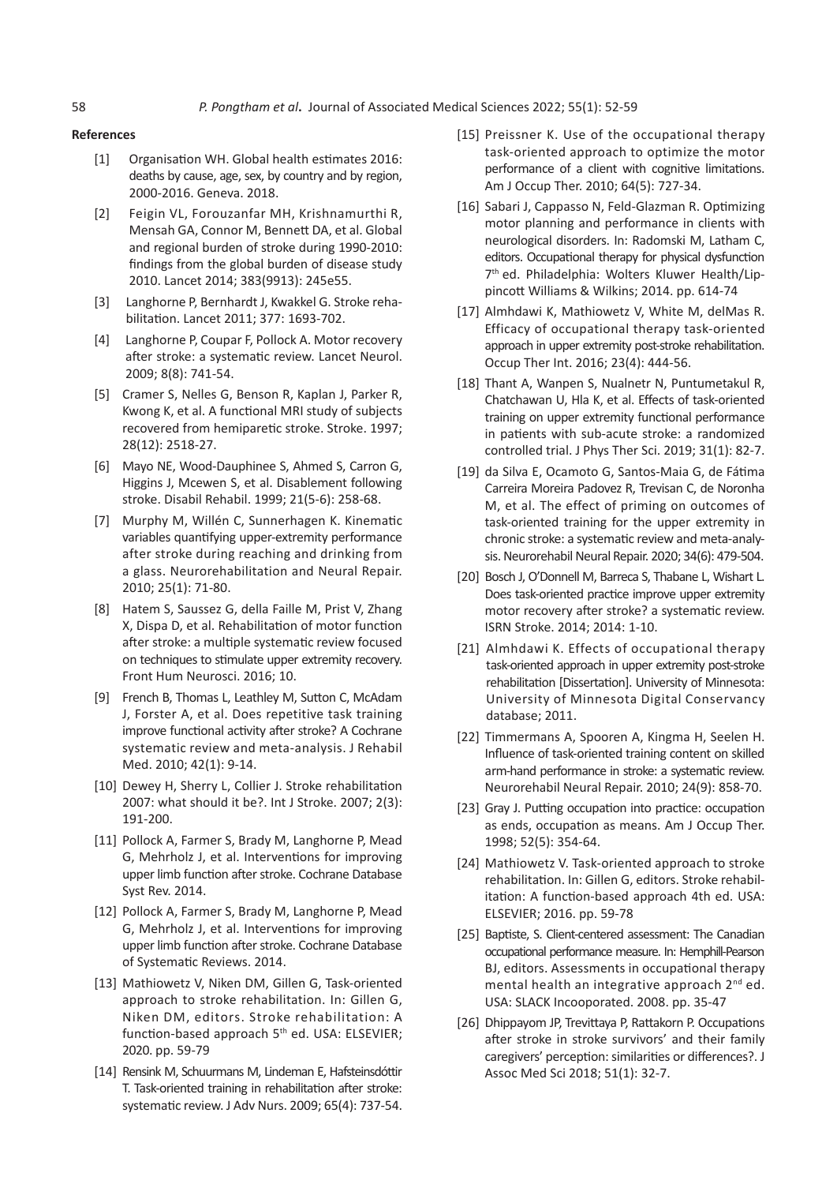#### **References**

- [1] Organisation WH. Global health estimates 2016: deaths by cause, age, sex, by country and by region, 2000-2016. Geneva. 2018.
- [2] Feigin VL, Forouzanfar MH, Krishnamurthi R, Mensah GA, Connor M, Bennett DA, et al. Global and regional burden of stroke during 1990-2010: findings from the global burden of disease study 2010. Lancet 2014; 383(9913): 245e55.
- [3] Langhorne P, Bernhardt J, Kwakkel G. Stroke rehabilitation. Lancet 2011; 377: 1693-702.
- [4] Langhorne P, Coupar F, Pollock A. Motor recovery after stroke: a systematic review. Lancet Neurol. 2009; 8(8): 741-54.
- [5] Cramer S, Nelles G, Benson R, Kaplan J, Parker R, Kwong K, et al. A functional MRI study of subjects recovered from hemiparetic stroke. Stroke. 1997; 28(12): 2518-27.
- [6] Mayo NE, Wood-Dauphinee S, Ahmed S, Carron G, Higgins J, Mcewen S, et al. Disablement following stroke. Disabil Rehabil. 1999; 21(5-6): 258-68.
- [7] Murphy M, Willén C, Sunnerhagen K. Kinematic variables quantifying upper-extremity performance after stroke during reaching and drinking from a glass. Neurorehabilitation and Neural Repair. 2010; 25(1): 71-80.
- [8] Hatem S, Saussez G, della Faille M, Prist V, Zhang X, Dispa D, et al. Rehabilitation of motor function after stroke: a multiple systematic review focused on techniques to stimulate upper extremity recovery. Front Hum Neurosci. 2016; 10.
- [9] French B, Thomas L, Leathley M, Sutton C, McAdam J, Forster A, et al. Does repetitive task training improve functional activity after stroke? A Cochrane systematic review and meta-analysis. J Rehabil Med. 2010; 42(1): 9-14.
- [10] Dewey H, Sherry L, Collier J, Stroke rehabilitation 2007: what should it be?. Int J Stroke. 2007; 2(3): 191-200.
- [11] Pollock A, Farmer S, Brady M, Langhorne P, Mead G, Mehrholz J, et al. Interventions for improving upper limb function after stroke. Cochrane Database Syst Rev. 2014.
- [12] Pollock A, Farmer S, Brady M, Langhorne P, Mead G, Mehrholz J, et al. Interventions for improving upper limb function after stroke. Cochrane Database of Systematic Reviews. 2014.
- [13] Mathiowetz V, Niken DM, Gillen G, Task-oriented approach to stroke rehabilitation. In: Gillen G, Niken DM, editors. Stroke rehabilitation: A function-based approach 5<sup>th</sup> ed. USA: ELSEVIER; 2020. pp. 59-79
- [14] Rensink M, Schuurmans M, Lindeman E, Hafsteinsdóttir T. Task-oriented training in rehabilitation after stroke: systematic review. J Adv Nurs. 2009; 65(4): 737-54.
- [15] Preissner K. Use of the occupational therapy task-oriented approach to optimize the motor performance of a client with cognitive limitations. Am J Occup Ther. 2010; 64(5): 727-34.
- [16] Sabari J, Cappasso N, Feld-Glazman R. Optimizing motor planning and performance in clients with neurological disorders. In: Radomski M, Latham C, editors. Occupational therapy for physical dysfunction 7<sup>th</sup> ed. Philadelphia: Wolters Kluwer Health/Lippincott Williams & Wilkins; 2014. pp. 614-74
- [17] Almhdawi K, Mathiowetz V, White M, delMas R. Efficacy of occupational therapy task-oriented approach in upper extremity post-stroke rehabilitation. Occup Ther Int. 2016; 23(4): 444-56.
- [18] Thant A, Wanpen S, Nualnetr N, Puntumetakul R, Chatchawan U, Hla K, et al. Effects of task-oriented training on upper extremity functional performance in patients with sub-acute stroke: a randomized controlled trial. J Phys Ther Sci. 2019; 31(1): 82-7.
- [19] da Silva E, Ocamoto G, Santos-Maia G, de Fátima Carreira Moreira Padovez R, Trevisan C, de Noronha M, et al. The effect of priming on outcomes of task-oriented training for the upper extremity in chronic stroke: a systematic review and meta-analysis. Neurorehabil Neural Repair. 2020; 34(6): 479-504.
- [20] Bosch J, O'Donnell M, Barreca S, Thabane L, Wishart L. Does task-oriented practice improve upper extremity motor recovery after stroke? a systematic review. ISRN Stroke. 2014; 2014: 1-10.
- [21] Almhdawi K. Effects of occupational therapy task-oriented approach in upper extremity post-stroke rehabilitation [Dissertation]. University of Minnesota: University of Minnesota Digital Conservancy database; 2011.
- [22] Timmermans A, Spooren A, Kingma H, Seelen H. Influence of task-oriented training content on skilled arm-hand performance in stroke: a systematic review. Neurorehabil Neural Repair. 2010; 24(9): 858-70.
- [23] Gray J. Putting occupation into practice: occupation as ends, occupation as means. Am J Occup Ther. 1998; 52(5): 354-64.
- [24] Mathiowetz V. Task-oriented approach to stroke rehabilitation. In: Gillen G, editors. Stroke rehabilitation: A function-based approach 4th ed. USA: ELSEVIER; 2016. pp. 59-78
- [25] Baptiste, S. Client-centered assessment: The Canadian occupational performance measure. In: Hemphill-Pearson BJ, editors. Assessments in occupational therapy mental health an integrative approach  $2^{nd}$  ed. USA: SLACK Incooporated. 2008. pp. 35-47
- [26] Dhippayom JP, Trevittaya P, Rattakorn P. Occupations after stroke in stroke survivors' and their family caregivers' perception: similarities or differences?. J Assoc Med Sci 2018; 51(1): 32-7.